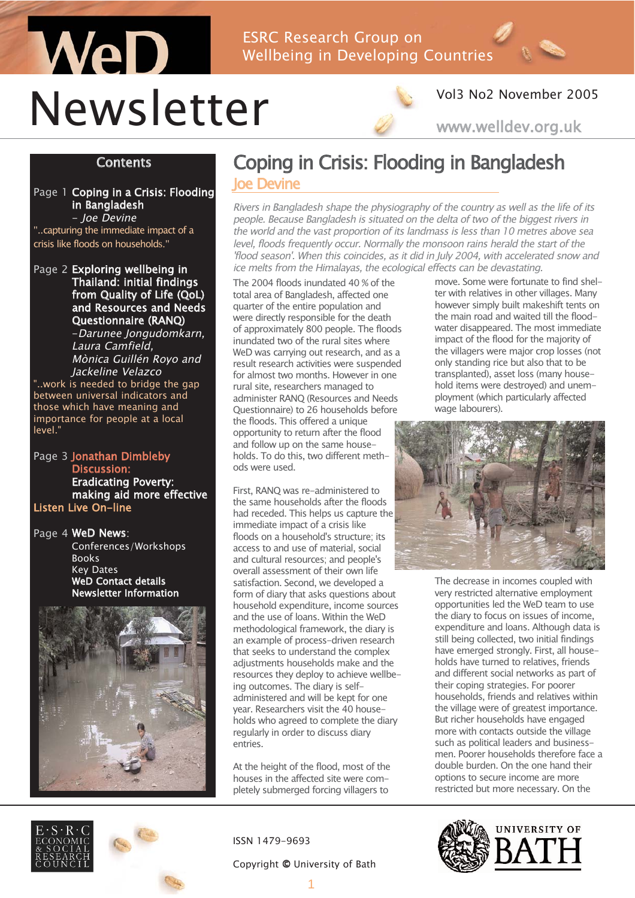## WeD ESRC Research Group on Wellbeing in Developing Countries Newsletter



### Vol3 No2 November 2005

www.welldev.org.uk

#### **Contents**

Page 1 Coping in a Crisis: Flooding in Bangladesh - Joe Devine

"..capturing the immediate impact of a crisis like floods on households."

Page 2 Exploring wellbeing in Thailand: initial findings from Quality of Life (QoL) and Resources and Needs Questionnaire (RANQ)

-Darunee Jongudomkarn, Laura Camfield, Mònica Guillén Royo and Jackeline Velazco

..work is needed to bridge the gap between universal indicators and those which have meaning and importance for people at a local level."

Page 3 Jonathan Dimbleby Discussion: Eradicating Poverty: making aid more effective Listen Live On-line

Conferences/Workshops

Page 4 WeD News:

Books Key Dates



## Coping in Crisis: Flooding in Bangladesh **Ioe Devine**

Rivers in Bangladesh shape the physiography of the country as well as the life of its people. Because Bangladesh is situated on the delta of two of the biggest rivers in the world and the vast proportion of its landmass is less than 10 metres above sea level, floods frequently occur. Normally the monsoon rains herald the start of the 'flood season'. When this coincides, as it did in July 2004, with accelerated snow and ice melts from the Himalayas, the ecological effects can be devastating.

The 2004 floods inundated 40 % of the total area of Bangladesh, affected one quarter of the entire population and were directly responsible for the death of approximately 800 people. The floods inundated two of the rural sites where WeD was carrying out research, and as a result research activities were suspended for almost two months. However in one rural site, researchers managed to administer RANQ (Resources and Needs Questionnaire) to 26 households before the floods. This offered a unique opportunity to return after the flood and follow up on the same households. To do this, two different methods were used.

First, RANQ was re-administered to the same households after the floods had receded. This helps us capture the immediate impact of a crisis like floods on a household's structure; its access to and use of material, social and cultural resources; and people's overall assessment of their own life satisfaction. Second, we developed a form of diary that asks questions about household expenditure, income sources and the use of loans. Within the WeD methodological framework, the diary is an example of process-driven research that seeks to understand the complex adjustments households make and the resources they deploy to achieve wellbeing outcomes. The diary is selfadministered and will be kept for one year. Researchers visit the 40 households who agreed to complete the diary regularly in order to discuss diary entries.

At the height of the flood, most of the houses in the affected site were completely submerged forcing villagers to

ISSN 1479-9693

#### Copyright © University of Bath

however simply built makeshift tents on the main road and waited till the floodwater disappeared. The most immediate impact of the flood for the majority of the villagers were major crop losses (not only standing rice but also that to be transplanted), asset loss (many household items were destroyed) and unemployment (which particularly affected wage labourers).

move. Some were fortunate to find shelter with relatives in other villages. Many



The decrease in incomes coupled with very restricted alternative employment opportunities led the WeD team to use the diary to focus on issues of income, expenditure and loans. Although data is still being collected, two initial findings have emerged strongly. First, all households have turned to relatives, friends and different social networks as part of their coping strategies. For poorer households, friends and relatives within the village were of greatest importance. But richer households have engaged more with contacts outside the village such as political leaders and businessmen. Poorer households therefore face a double burden. On the one hand their options to secure income are more restricted but more necessary. On the



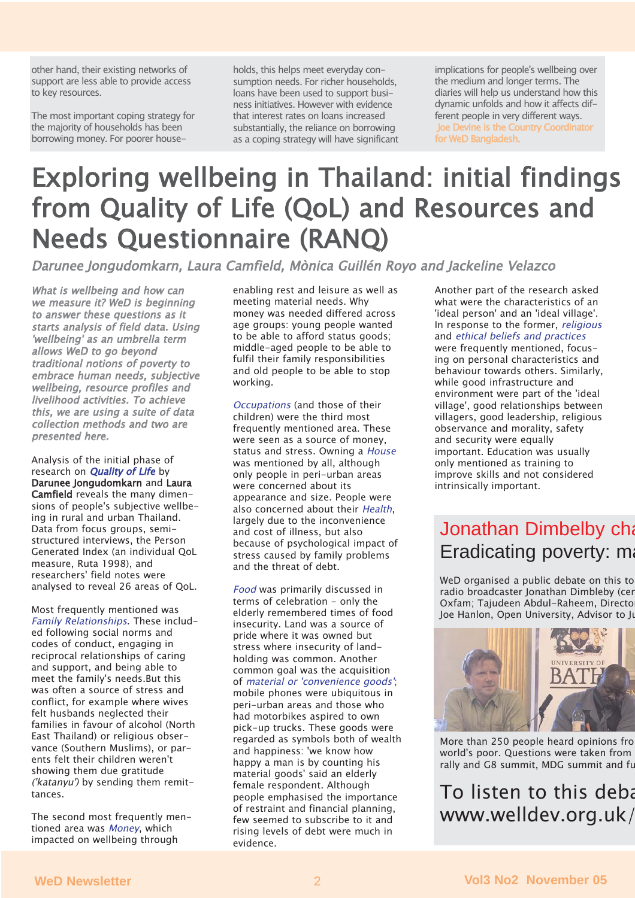other hand, their existing networks of support are less able to provide access to key resources.

The most important coping strategy for the majority of households has been borrowing money. For poorer households, this helps meet everyday consumption needs. For richer households, loans have been used to support business initiatives. However with evidence that interest rates on loans increased substantially, the reliance on borrowing as a coping strategy will have significant

implications for people's wellbeing over the medium and longer terms. The diaries will help us understand how this dynamic unfolds and how it affects different people in very different ways. Joe Devine is the Country Coordinator for WeD Bangladesh.

## Exploring wellbeing in Thailand: initial findings from Quality of Life (QoL) and Resources and Needs Questionnaire (RANQ)

Darunee Jongudomkarn, Laura Camfield, Mònica Guillén Royo and Jackeline Velazco

What is wellbeing and how can we measure it? WeD is beginning to answer these questions as it starts analysis of field data. Using 'wellbeing' as an umbrella term allows WeD to go beyond traditional notions of poverty to embrace human needs, subjective wellbeing, resource profiles and livelihood activities. To achieve this, we are using a suite of data collection methods and two are presented here.

Analysis of the initial phase of research on **Quality of Life** by Darunee Jongudomkarn and Laura Camfield reveals the many dimensions of people's subjective wellbeing in rural and urban Thailand. Data from focus groups, semistructured interviews, the Person Generated Index (an individual QoL measure, Ruta 1998), and researchers' field notes were analysed to reveal 26 areas of QoL.

Most frequently mentioned was Family Relationships. These included following social norms and codes of conduct, engaging in reciprocal relationships of caring and support, and being able to meet the family's needs.But this was often a source of stress and conflict, for example where wives felt husbands neglected their families in favour of alcohol (North East Thailand) or religious observance (Southern Muslims), or parents felt their children weren't showing them due gratitude ('katanyu') by sending them remittances.

The second most frequently mentioned area was Money, which impacted on wellbeing through

enabling rest and leisure as well as meeting material needs. Why money was needed differed across age groups: young people wanted to be able to afford status goods; middle-aged people to be able to fulfil their family responsibilities and old people to be able to stop working.

Occupations (and those of their children) were the third most frequently mentioned area. These were seen as a source of money, status and stress. Owning a House was mentioned by all, although only people in peri-urban areas were concerned about its appearance and size. People were also concerned about their Health. largely due to the inconvenience and cost of illness, but also because of psychological impact of stress caused by family problems and the threat of debt.

Food was primarily discussed in terms of celebration - only the elderly remembered times of food insecurity. Land was a source of pride where it was owned but stress where insecurity of landholding was common. Another common goal was the acquisition of material or 'convenience goods'; mobile phones were ubiquitous in peri-urban areas and those who had motorbikes aspired to own pick-up trucks. These goods were regarded as symbols both of wealth and happiness: 'we know how happy a man is by counting his material goods' said an elderly female respondent. Although people emphasised the importance of restraint and financial planning, few seemed to subscribe to it and rising levels of debt were much in evidence.

Another part of the research asked what were the characteristics of an 'ideal person' and an 'ideal village'. In response to the former, religious and ethical beliefs and practices were frequently mentioned, focusing on personal characteristics and behaviour towards others. Similarly, while good infrastructure and environment were part of the 'ideal village', good relationships between villagers, good leadership, religious observance and morality, safety and security were equally important. Education was usually only mentioned as training to improve skills and not considered intrinsically important.

## Jonathan Dimbelby cha Eradicating poverty: ma

WeD organised a public debate on this to radio broadcaster Jonathan Dimbleby (cen Oxfam; Tajudeen Abdul-Raheem, Directo Joe Hanlon, Open University, Advisor to Ju



More than 250 people heard opinions fro world's poor. Questions were taken from rally and G8 summit, MDG summit and fu

To listen to this deba www.welldev.org.uk/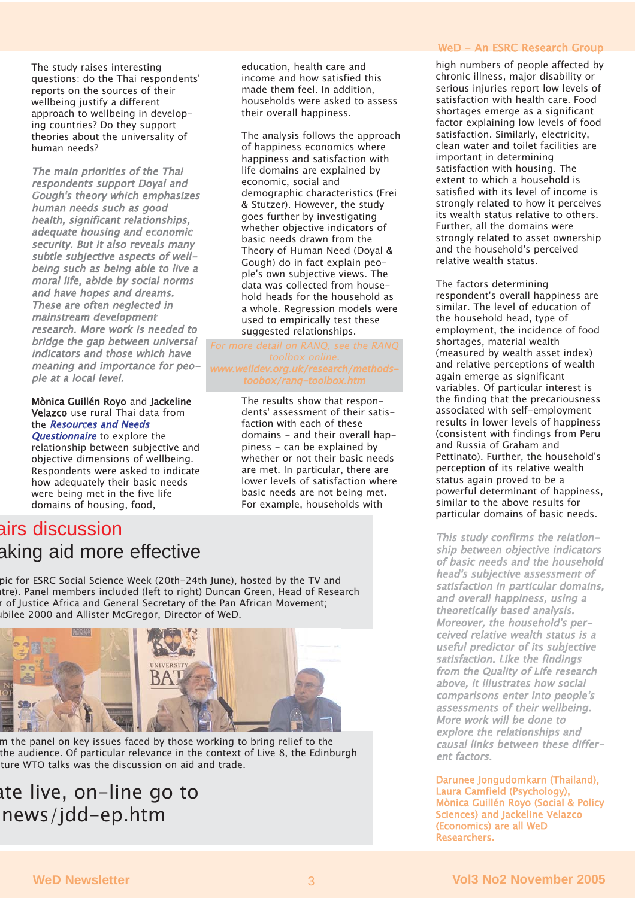The study raises interesting questions: do the Thai respondents' reports on the sources of their wellbeing justify a different approach to wellbeing in developing countries? Do they support theories about the universality of human needs?

The main priorities of the Thai respondents support Doyal and Gough's theory which emphasizes human needs such as good health, significant relationships, adequate housing and economic security. But it also reveals many subtle subjective aspects of wellbeing such as being able to live a moral life, abide by social norms and have hopes and dreams. These are often neglected in mainstream development research. More work is needed to bridge the gap between universal indicators and those which have meaning and importance for people at a local level.

#### Mònica Guillén Royo and Jackeline Velazco use rural Thai data from the Resources and Needs

Questionnaire to explore the relationship between subjective and objective dimensions of wellbeing. Respondents were asked to indicate how adequately their basic needs were being met in the five life domains of housing, food,

#### education, health care and income and how satisfied this made them feel. In addition, households were asked to assess their overall happiness.

The analysis follows the approach of happiness economics where happiness and satisfaction with life domains are explained by economic, social and demographic characteristics (Frei & Stutzer). However, the study goes further by investigating whether objective indicators of basic needs drawn from the Theory of Human Need (Doyal & Gough) do in fact explain people's own subjective views. The data was collected from household heads for the household as a whole. Regression models were used to empirically test these suggested relationships.

## elldev.org.uk/research/methodstoobox/ranq-toolbox.htm

The results show that respondents' assessment of their satisfaction with each of these domains - and their overall happiness - can be explained by whether or not their basic needs are met. In particular, there are lower levels of satisfaction where basic needs are not being met. For example, households with

## airs discussion aking aid more effective

pic for ESRC Social Science Week (20th-24th June), hosted by the TV and ntre). Panel members included (left to right) Duncan Green, Head of Research r of Justice Africa and General Secretary of the Pan African Movement; ubilee 2000 and Allister McGregor, Director of WeD.



m the panel on key issues faced by those working to bring relief to the the audience. Of particular relevance in the context of Live 8, the Edinburgh ture WTO talks was the discussion on aid and trade.

## ate live, on-line go to news/jdd-ep.htm

#### WeD - An ESRC Research Group

high numbers of people affected by chronic illness, major disability or serious injuries report low levels of satisfaction with health care. Food shortages emerge as a significant factor explaining low levels of food satisfaction. Similarly, electricity, clean water and toilet facilities are important in determining satisfaction with housing. The extent to which a household is satisfied with its level of income is strongly related to how it perceives its wealth status relative to others. Further, all the domains were strongly related to asset ownership and the household's perceived relative wealth status.

The factors determining respondent's overall happiness are similar. The level of education of the household head, type of employment, the incidence of food shortages, material wealth (measured by wealth asset index) and relative perceptions of wealth again emerge as significant variables. Of particular interest is the finding that the precariousness associated with self-employment results in lower levels of happiness (consistent with findings from Peru and Russia of Graham and Pettinato). Further, the household's perception of its relative wealth status again proved to be a powerful determinant of happiness, similar to the above results for particular domains of basic needs.

This study confirms the relationship between objective indicators of basic needs and the household head's subjective assessment of satisfaction in particular domains, and overall happiness, using a theoretically based analysis. Moreover, the household's perceived relative wealth status is a useful predictor of its subjective satisfaction. Like the findings from the Quality of Life research above, it illustrates how social comparisons enter into people's assessments of their wellbeing. More work will be done to explore the relationships and causal links between these different factors.

Darunee Jongudomkarn (Thailand), Laura Camfield (Psychology), Mònica Guillén Royo (Social & Policy Sciences) and Jackeline Velazco (Economics) are all WeD Researchers.